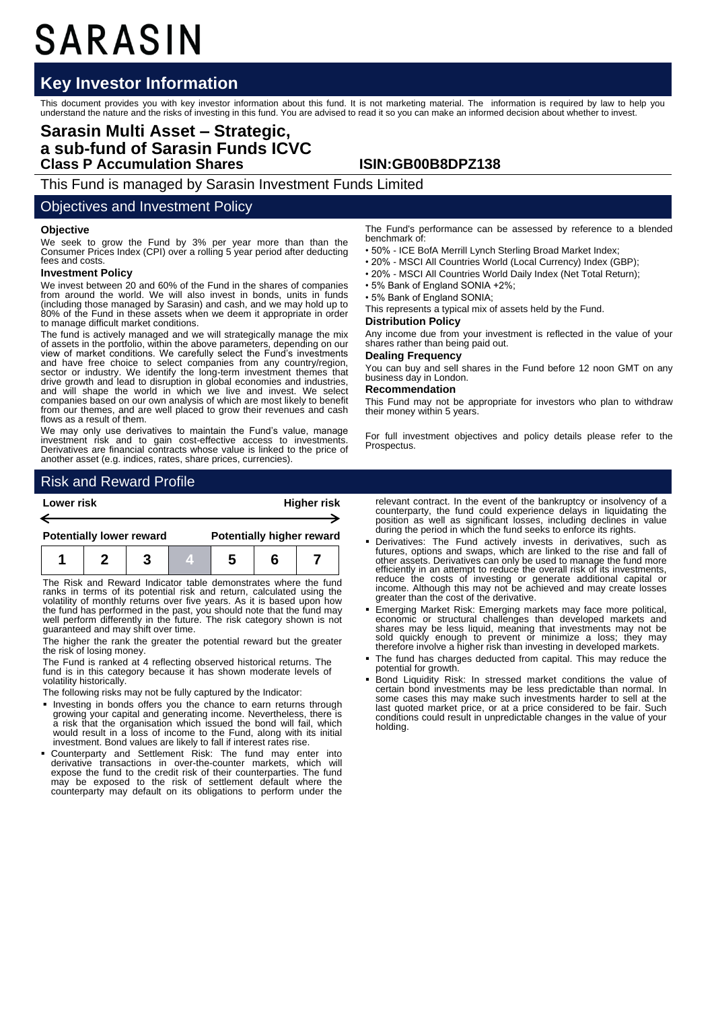# SARASIN

# **Key Investor Information**

This document provides you with key investor information about this fund. It is not marketing material. The information is required by law to help you<br>understand the nature and the risks of investing in this fund. You are

# **Sarasin Multi Asset – Strategic, a sub-fund of Sarasin Funds ICVC Class P Accumulation Shares ISIN:GB00B8DPZ138**

This Fund is managed by Sarasin Investment Funds Limited

## Objectives and Investment Policy

### **Objective**

We seek to grow the Fund by 3% per year more than than the Consumer Prices Index (CPI) over a rolling 5 year period after deducting fees and costs.

#### **Investment Policy**

We invest between 20 and 60% of the Fund in the shares of companies from around the world. We will also invest in bonds, units in funds (including those managed by Sarasin) and cash, and we may hold up to 80% of the Fund in these assets when we deem it appropriate in order to manage difficult market conditions.

The fund is actively managed and we will strategically manage the mix of assets in the portfolio, within the above parameters, depending on our view of market conditions. We carefully select the Fund's investments and have free choice to select companies from any country/region, sector or industry. We identify the long-term investment themes that drive growth and lead to disruption in global economies and industries, and will shape the world in which we live and invest. We select companies based on our own analysis of which are most likely to benefit from our themes, and are well placed to grow their revenues and cash flows as a result of them.

We may only use derivatives to maintain the Fund's value, manage investment risk and to gain cost-effective access to investments. Derivatives are financial contracts whose value is linked to the price of another asset (e.g. indices, rates, share prices, currencies).

# Risk and Reward Profile



The Risk and Reward Indicator table demonstrates where the fund ranks in terms of its potential risk and return, calculated using the volatility of monthly returns over five years. As it is based upon how the fund has performed in the past, you should note that the fund may well perform differently in the future. The risk category shown is not guaranteed and may shift over time.

The higher the rank the greater the potential reward but the greater the risk of losing money.

The Fund is ranked at 4 reflecting observed historical returns. The fund is in this category because it has shown moderate levels of volatility historically.

The following risks may not be fully captured by the Indicator:

- **Investing in bonds offers you the chance to earn returns through** growing your capital and generating income. Nevertheless, there is a risk that the organisation which issued the bond will fail, which would result in a loss of income to the Fund, along with its initial investment. Bond values are likely to fall if interest rates rise.
- Counterparty and Settlement Risk: The fund may enter into derivative transactions in over-the-counter markets, which will expose the fund to the credit risk of their counterparties. The fund may be exposed to the risk of settlement default where the counterparty may default on its obligations to perform under the

The Fund's performance can be assessed by reference to a blended benchmark of:

- 50% ICE BofA Merrill Lynch Sterling Broad Market Index;
- 20% MSCI All Countries World (Local Currency) Index (GBP);
- 20% MSCI All Countries World Daily Index (Net Total Return);
- 5% Bank of England SONIA +2%;

• 5% Bank of England SONIA;

This represents a typical mix of assets held by the Fund.

#### **Distribution Policy**

Any income due from your investment is reflected in the value of your shares rather than being paid out.

#### **Dealing Frequency**

You can buy and sell shares in the Fund before 12 noon GMT on any business day in London.

#### **Recommendation**

This Fund may not be appropriate for investors who plan to withdraw their money within 5 years.

For full investment objectives and policy details please refer to the Prospectus.

relevant contract. In the event of the bankruptcy or insolvency of a counterparty, the fund could experience delays in liquidating the position as well as significant losses, including declines in value during the period in which the fund seeks to enforce its rights.

- Derivatives: The Fund actively invests in derivatives, such as futures, options and swaps, which are linked to the rise and fall of other assets. Derivatives can only be used to manage the fund more efficiently in an attempt to reduce the overall risk of its investments, reduce the costs of investing or generate additional capital or income. Although this may not be achieved and may create losses greater than the cost of the derivative.
- Emerging Market Risk: Emerging markets may face more political, economic or structural challenges than developed markets and shares may be less liquid, meaning that investments may not be sold quickly enough to prevent or minimize a loss; they may therefore involve a higher risk than investing in developed markets.
- The fund has charges deducted from capital. This may reduce the potential for growth.
- Bond Liquidity Risk: In stressed market conditions the value of certain bond investments may be less predictable than normal. In some cases this may make such investments harder to sell at the last quoted market price, or at a price considered to be fair. Such conditions could result in unpredictable changes in the value of your holding.